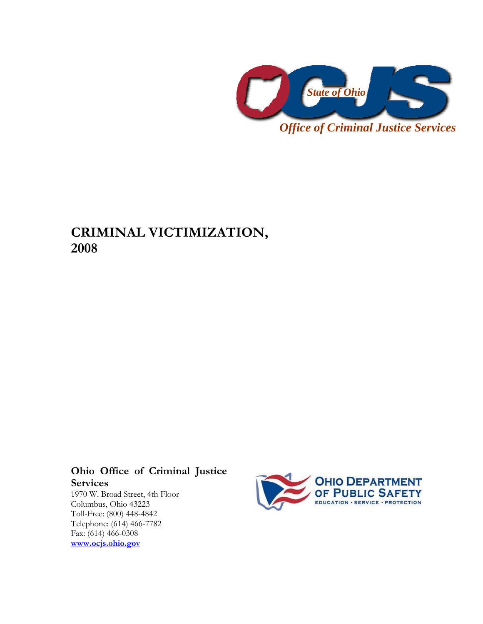

# **CRIMINAL VICTIMIZATION, 2008**

# **Ohio Office of Criminal Justice Services**

1970 W. Broad Street, 4th Floor Columbus, Ohio 43223 Toll-Free: (800) 448-4842 Telephone: (614) 466-7782 Fax: (614) 466-0308 **[www.ocjs.ohio.gov](http://www.ocjs.ohio.gov/)**

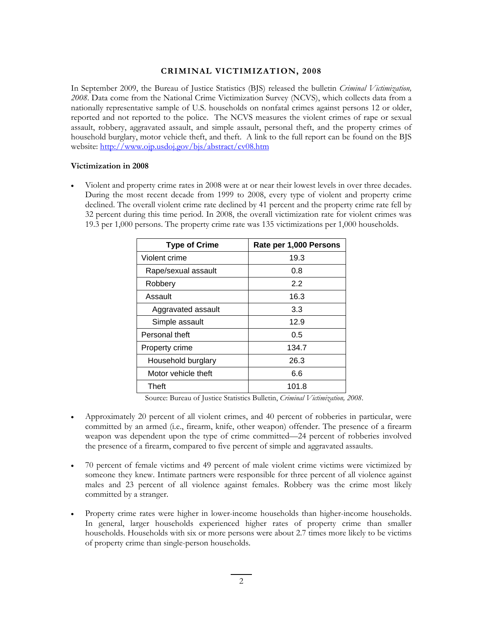### **CRIMINAL VICTIMIZATION, 2008**

In September 2009, the Bureau of Justice Statistics (BJS) released the bulletin *Criminal Victimization, 2008*. Data come from the National Crime Victimization Survey (NCVS), which collects data from a nationally representative sample of U.S. households on nonfatal crimes against persons 12 or older, reported and not reported to the police. The NCVS measures the violent crimes of rape or sexual assault, robbery, aggravated assault, and simple assault, personal theft, and the property crimes of household burglary, motor vehicle theft, and theft. A link to the full report can be found on the BJS website: http://www.ojp.usdoj.gov/bjs/abstract/cv08.htm

#### **Victimization in 2008**

• Violent and property crime rates in 2008 were at or near their lowest levels in over three decades. During the most recent decade from 1999 to 2008, every type of violent and property crime declined. The overall violent crime rate declined by 41 percent and the property crime rate fell by 32 percent during this time period. In 2008, the overall victimization rate for violent crimes was 19.3 per 1,000 persons. The property crime rate was 135 victimizations per 1,000 households.

| <b>Type of Crime</b> | Rate per 1,000 Persons |
|----------------------|------------------------|
| Violent crime        | 19.3                   |
| Rape/sexual assault  | 0.8                    |
| Robbery              | 2.2                    |
| Assault              | 16.3                   |
| Aggravated assault   | 3.3                    |
| Simple assault       | 12.9                   |
| Personal theft       | 0.5                    |
| Property crime       | 134.7                  |
| Household burglary   | 26.3                   |
| Motor vehicle theft  | 6.6                    |
| Theft                | 101.8                  |

Source: Bureau of Justice Statistics Bulletin, *Criminal Victimization, 2008*.

- Approximately 20 percent of all violent crimes, and 40 percent of robberies in particular, were committed by an armed (i.e., firearm, knife, other weapon) offender. The presence of a firearm weapon was dependent upon the type of crime committed—24 percent of robberies involved the presence of a firearm, compared to five percent of simple and aggravated assaults.
- 70 percent of female victims and 49 percent of male violent crime victims were victimized by someone they knew. Intimate partners were responsible for three percent of all violence against males and 23 percent of all violence against females. Robbery was the crime most likely committed by a stranger.
- Property crime rates were higher in lower-income households than higher-income households. In general, larger households experienced higher rates of property crime than smaller households. Households with six or more persons were about 2.7 times more likely to be victims of property crime than single-person households.